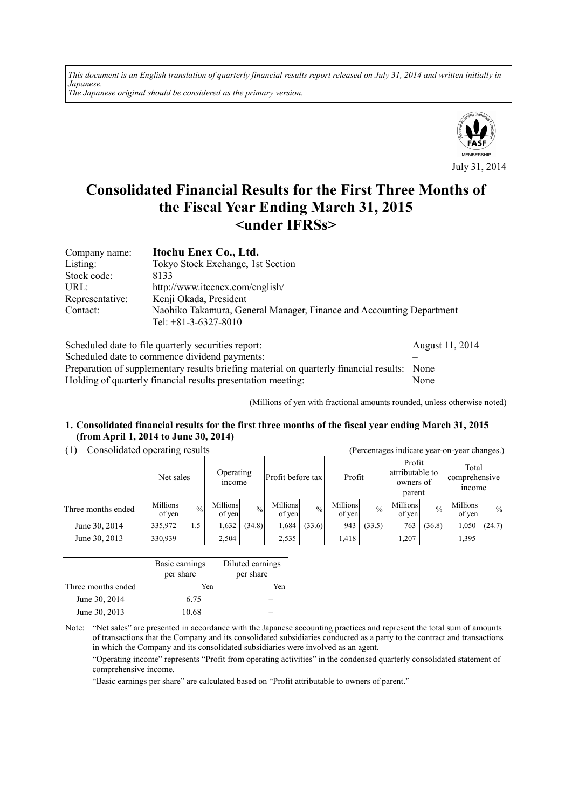*This document is an English translation of quarterly financial results report released on July 31, 2014 and written initially in Japanese. The Japanese original should be considered as the primary version.*



# **Consolidated Financial Results for the First Three Months of the Fiscal Year Ending March 31, 2015 <under IFRSs>**

| Company name:   | Itochu Enex Co., Ltd.                                                |
|-----------------|----------------------------------------------------------------------|
| Listing:        | Tokyo Stock Exchange, 1st Section                                    |
| Stock code:     | 8133                                                                 |
| URL:            | http://www.itcenex.com/english/                                      |
| Representative: | Kenji Okada, President                                               |
| Contact:        | Naohiko Takamura, General Manager, Finance and Accounting Department |
|                 | Tel: $+81-3-6327-8010$                                               |

| Scheduled date to file quarterly securities report:                                         | August 11, 2014 |
|---------------------------------------------------------------------------------------------|-----------------|
| Scheduled date to commence dividend payments:                                               |                 |
| Preparation of supplementary results briefing material on quarterly financial results: None |                 |
| Holding of quarterly financial results presentation meeting.                                | None            |

(Millions of yen with fractional amounts rounded, unless otherwise noted)

#### **1. Consolidated financial results for the first three months of the fiscal year ending March 31, 2015 (from April 1, 2014 to June 30, 2014)**

### (1) Consolidated operating results (Percentages indicate year-on-year changes.)

| $P$ . we have $P$ . we whole |                    |                 |                     |                          |                    |                          |                    |               |                                                  |               |                                  |        |
|------------------------------|--------------------|-----------------|---------------------|--------------------------|--------------------|--------------------------|--------------------|---------------|--------------------------------------------------|---------------|----------------------------------|--------|
|                              | Net sales          |                 | Operating<br>income |                          | Profit before tax  |                          | Profit             |               | Profit<br>attributable to<br>owners of<br>parent |               | Total<br>comprehensive<br>income |        |
| Three months ended           | Millions<br>of yen | $\frac{0}{0}$   | Millions<br>of yen  | $\frac{0}{0}$            | Millions<br>of yen | $\frac{0}{0}$            | Millions<br>of yen | $\frac{0}{0}$ | Millions<br>of yen                               | $\frac{0}{0}$ | Millions<br>of yen               | $\%$   |
| June 30, 2014                | 335,972            | 1.5             | 1,632               | (34.8)                   | 1,684              | (33.6)                   | 943                | (33.5)        | 763                                              | (36.8)        | 1,050                            | (24.7) |
| June 30, 2013                | 330,939            | $\qquad \qquad$ | 2,504               | $\overline{\phantom{0}}$ | 2,535              | $\overline{\phantom{0}}$ | 1.418              | -             | 1,207                                            |               | 1,395                            |        |

|                    | Basic earnings<br>per share | Diluted earnings<br>per share |
|--------------------|-----------------------------|-------------------------------|
| Three months ended | Yen                         | Yen                           |
| June 30, 2014      | 6.75                        |                               |
| June 30, 2013      | 10.68                       |                               |

Note: "Net sales" are presented in accordance with the Japanese accounting practices and represent the total sum of amounts of transactions that the Company and its consolidated subsidiaries conducted as a party to the contract and transactions in which the Company and its consolidated subsidiaries were involved as an agent.

"Operating income" represents "Profit from operating activities" in the condensed quarterly consolidated statement of comprehensive income.

"Basic earnings per share" are calculated based on "Profit attributable to owners of parent."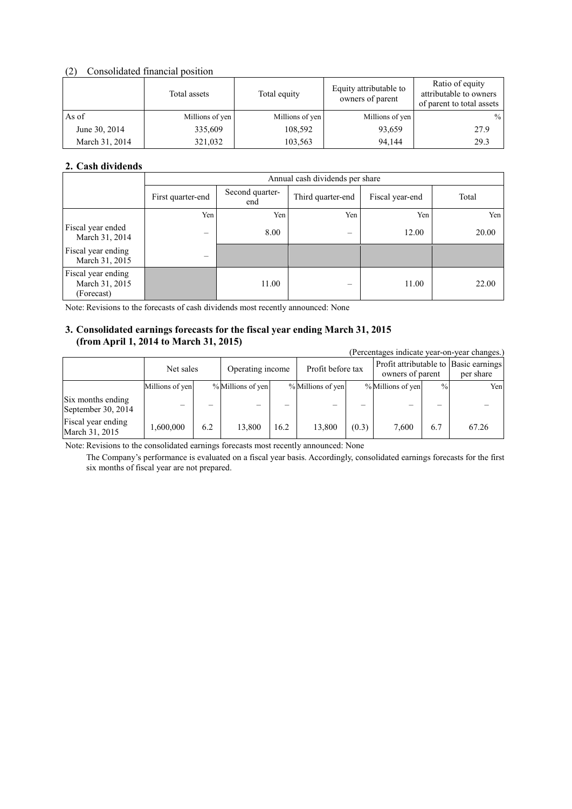### (2) Consolidated financial position

|                | Total assets    | Total equity    | Equity attributable to<br>owners of parent | Ratio of equity<br>attributable to owners<br>of parent to total assets |
|----------------|-----------------|-----------------|--------------------------------------------|------------------------------------------------------------------------|
| As of          | Millions of yen | Millions of yen | Millions of yen                            | $\%$                                                                   |
| June 30, 2014  | 335,609         | 108.592         | 93,659                                     | 27.9                                                                   |
| March 31, 2014 | 321,032         | 103,563         | 94.144                                     | 29.3                                                                   |

## **2. Cash dividends**

|                                                    | Annual cash dividends per share |                        |                   |                 |       |  |
|----------------------------------------------------|---------------------------------|------------------------|-------------------|-----------------|-------|--|
|                                                    | First quarter-end               | Second quarter-<br>end | Third quarter-end | Fiscal year-end | Total |  |
|                                                    | Yen                             | Yen                    | Yen               | Yen             | Yen   |  |
| Fiscal year ended<br>March 31, 2014                | -                               | 8.00                   |                   | 12.00           | 20.00 |  |
| Fiscal year ending<br>March 31, 2015               |                                 |                        |                   |                 |       |  |
| Fiscal year ending<br>March 31, 2015<br>(Forecast) |                                 | 11.00                  |                   | 11.00           | 22.00 |  |

Note: Revisions to the forecasts of cash dividends most recently announced: None

### **3. Consolidated earnings forecasts for the fiscal year ending March 31, 2015 (from April 1, 2014 to March 31, 2015)**

| (Percentages indicate year-on-year changes.) |                 |     |                   |      |                   |       |                                                           |               |           |
|----------------------------------------------|-----------------|-----|-------------------|------|-------------------|-------|-----------------------------------------------------------|---------------|-----------|
|                                              | Net sales       |     | Operating income  |      | Profit before tax |       | Profit attributable to Basic earnings<br>owners of parent |               | per share |
|                                              | Millions of yen |     | % Millions of yen |      | % Millions of yen |       | % Millions of yen                                         | $\frac{0}{0}$ | Yen       |
| Six months ending<br>September 30, 2014      | —               |     |                   |      |                   |       |                                                           |               |           |
| Fiscal year ending<br>March 31, 2015         | 1,600,000       | 6.2 | 13,800            | 16.2 | 13.800            | (0.3) | 7.600                                                     | 6.7           | 67.26     |

Note: Revisions to the consolidated earnings forecasts most recently announced: None

 The Company's performance is evaluated on a fiscal year basis. Accordingly, consolidated earnings forecasts for the first six months of fiscal year are not prepared.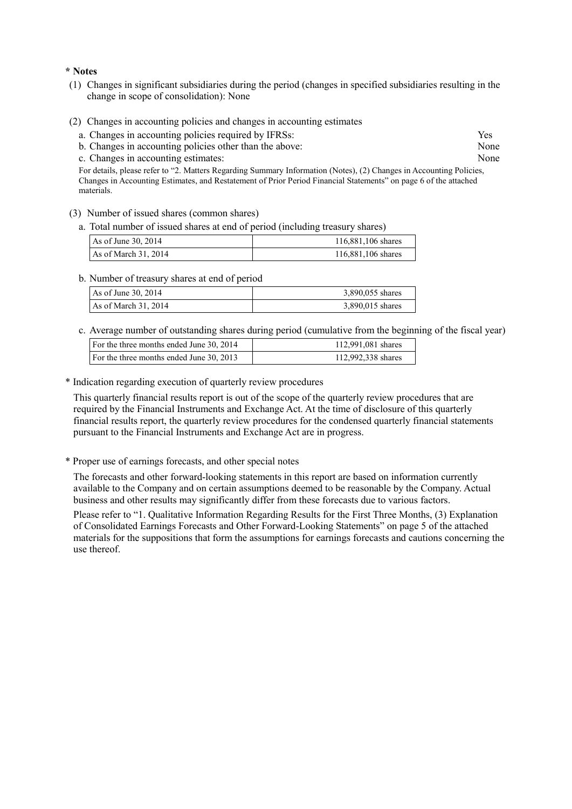#### **\* Notes**

- (1) Changes in significant subsidiaries during the period (changes in specified subsidiaries resulting in the change in scope of consolidation): None
- (2) Changes in accounting policies and changes in accounting estimates
	- a. Changes in accounting policies required by IFRSs: Yes
	- b. Changes in accounting policies other than the above: None
	- c. Changes in accounting estimates: None

For details, please refer to "2. Matters Regarding Summary Information (Notes), (2) Changes in Accounting Policies, Changes in Accounting Estimates, and Restatement of Prior Period Financial Statements" on page 6 of the attached materials.

- (3) Number of issued shares (common shares)
	- a. Total number of issued shares at end of period (including treasury shares)

| As of June 30, $2014$  | 116,881,106 shares |
|------------------------|--------------------|
| As of March $31, 2014$ | 116,881,106 shares |

b. Number of treasury shares at end of period

| As of June 30, $2014$  | 3,890,055 shares |
|------------------------|------------------|
| As of March $31, 2014$ | 3,890,015 shares |

c. Average number of outstanding shares during period (cumulative from the beginning of the fiscal year)

| For the three months ended June 30, 2014 | 112,991,081 shares |
|------------------------------------------|--------------------|
| For the three months ended June 30, 2013 | 112,992,338 shares |

#### \* Indication regarding execution of quarterly review procedures

This quarterly financial results report is out of the scope of the quarterly review procedures that are required by the Financial Instruments and Exchange Act. At the time of disclosure of this quarterly financial results report, the quarterly review procedures for the condensed quarterly financial statements pursuant to the Financial Instruments and Exchange Act are in progress.

\* Proper use of earnings forecasts, and other special notes

The forecasts and other forward-looking statements in this report are based on information currently available to the Company and on certain assumptions deemed to be reasonable by the Company. Actual business and other results may significantly differ from these forecasts due to various factors.

Please refer to "1. Qualitative Information Regarding Results for the First Three Months, (3) Explanation of Consolidated Earnings Forecasts and Other Forward-Looking Statements" on page 5 of the attached materials for the suppositions that form the assumptions for earnings forecasts and cautions concerning the use thereof.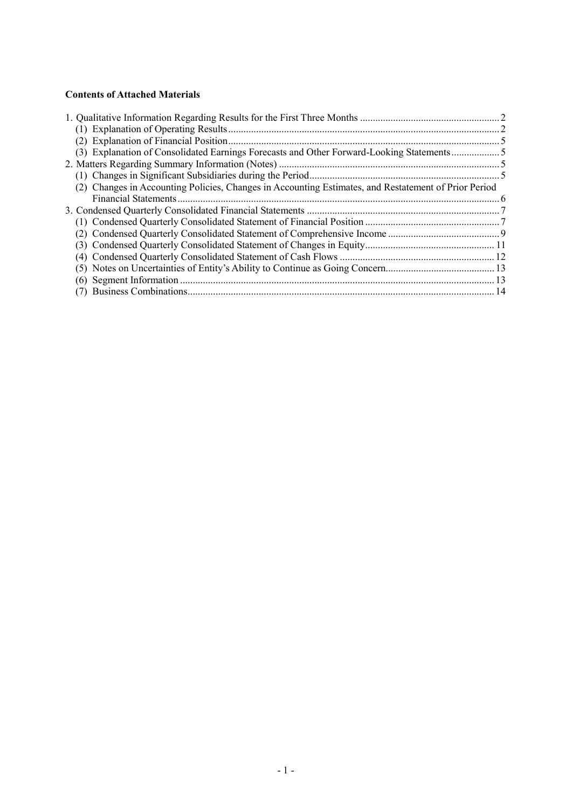## **Contents of Attached Materials**

| (3) Explanation of Consolidated Earnings Forecasts and Other Forward-Looking Statements              |  |
|------------------------------------------------------------------------------------------------------|--|
|                                                                                                      |  |
|                                                                                                      |  |
| (2) Changes in Accounting Policies, Changes in Accounting Estimates, and Restatement of Prior Period |  |
|                                                                                                      |  |
|                                                                                                      |  |
|                                                                                                      |  |
|                                                                                                      |  |
|                                                                                                      |  |
|                                                                                                      |  |
|                                                                                                      |  |
|                                                                                                      |  |
|                                                                                                      |  |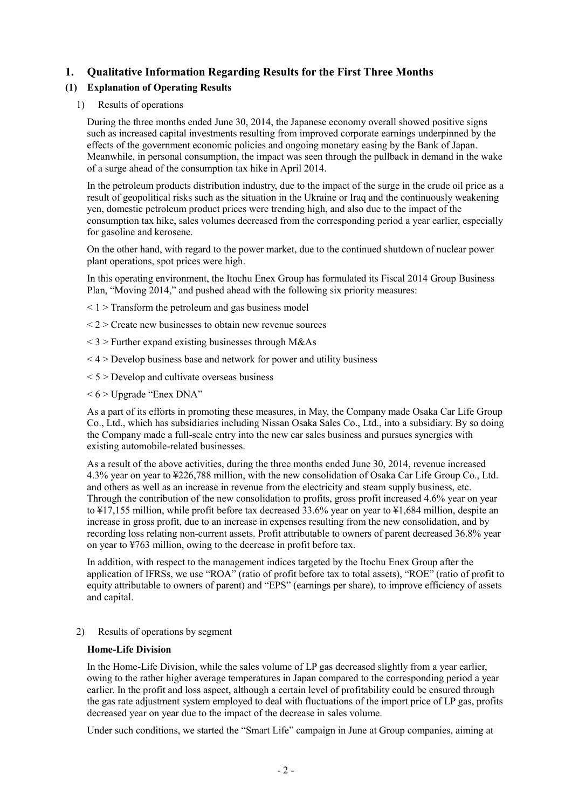## **1. Qualitative Information Regarding Results for the First Three Months**

## **(1) Explanation of Operating Results**

### 1) Results of operations

During the three months ended June 30, 2014, the Japanese economy overall showed positive signs such as increased capital investments resulting from improved corporate earnings underpinned by the effects of the government economic policies and ongoing monetary easing by the Bank of Japan. Meanwhile, in personal consumption, the impact was seen through the pullback in demand in the wake of a surge ahead of the consumption tax hike in April 2014.

In the petroleum products distribution industry, due to the impact of the surge in the crude oil price as a result of geopolitical risks such as the situation in the Ukraine or Iraq and the continuously weakening yen, domestic petroleum product prices were trending high, and also due to the impact of the consumption tax hike, sales volumes decreased from the corresponding period a year earlier, especially for gasoline and kerosene.

On the other hand, with regard to the power market, due to the continued shutdown of nuclear power plant operations, spot prices were high.

In this operating environment, the Itochu Enex Group has formulated its Fiscal 2014 Group Business Plan, "Moving 2014," and pushed ahead with the following six priority measures:

- $\leq$  1  $>$  Transform the petroleum and gas business model
- $\langle 2 \rangle$  Create new businesses to obtain new revenue sources
- $<$  3 > Further expand existing businesses through M&As
- $<$  4  $>$  Develop business base and network for power and utility business
- $\leq$  5  $>$  Develop and cultivate overseas business
- $\leq 6$  > Upgrade "Enex DNA"

As a part of its efforts in promoting these measures, in May, the Company made Osaka Car Life Group Co., Ltd., which has subsidiaries including Nissan Osaka Sales Co., Ltd., into a subsidiary. By so doing the Company made a full-scale entry into the new car sales business and pursues synergies with existing automobile-related businesses.

As a result of the above activities, during the three months ended June 30, 2014, revenue increased 4.3% year on year to ¥226,788 million, with the new consolidation of Osaka Car Life Group Co., Ltd. and others as well as an increase in revenue from the electricity and steam supply business, etc. Through the contribution of the new consolidation to profits, gross profit increased 4.6% year on year to ¥17,155 million, while profit before tax decreased 33.6% year on year to ¥1,684 million, despite an increase in gross profit, due to an increase in expenses resulting from the new consolidation, and by recording loss relating non-current assets. Profit attributable to owners of parent decreased 36.8% year on year to ¥763 million, owing to the decrease in profit before tax.

In addition, with respect to the management indices targeted by the Itochu Enex Group after the application of IFRSs, we use "ROA" (ratio of profit before tax to total assets), "ROE" (ratio of profit to equity attributable to owners of parent) and "EPS" (earnings per share), to improve efficiency of assets and capital.

### 2) Results of operations by segment

#### **Home-Life Division**

In the Home-Life Division, while the sales volume of LP gas decreased slightly from a year earlier, owing to the rather higher average temperatures in Japan compared to the corresponding period a year earlier. In the profit and loss aspect, although a certain level of profitability could be ensured through the gas rate adjustment system employed to deal with fluctuations of the import price of LP gas, profits decreased year on year due to the impact of the decrease in sales volume.

Under such conditions, we started the "Smart Life" campaign in June at Group companies, aiming at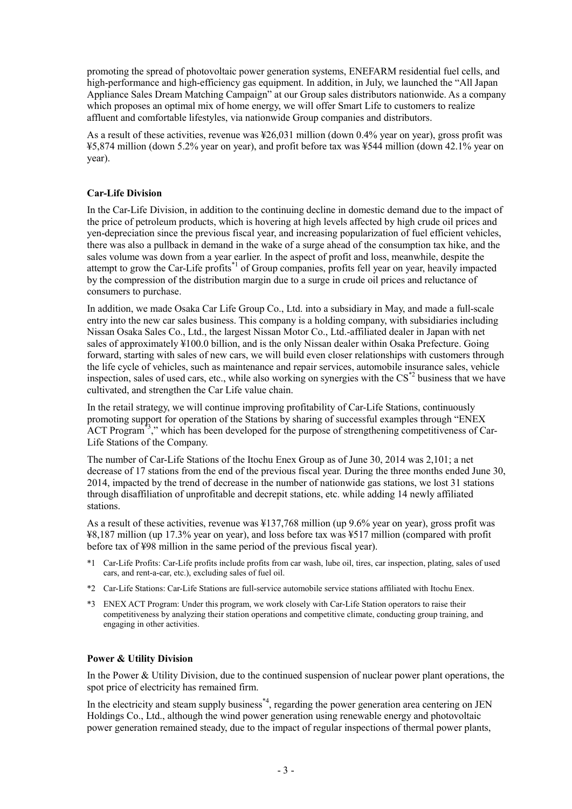promoting the spread of photovoltaic power generation systems, ENEFARM residential fuel cells, and high-performance and high-efficiency gas equipment. In addition, in July, we launched the "All Japan Appliance Sales Dream Matching Campaign" at our Group sales distributors nationwide. As a company which proposes an optimal mix of home energy, we will offer Smart Life to customers to realize affluent and comfortable lifestyles, via nationwide Group companies and distributors.

As a result of these activities, revenue was ¥26,031 million (down 0.4% year on year), gross profit was ¥5,874 million (down 5.2% year on year), and profit before tax was ¥544 million (down 42.1% year on year).

### **Car-Life Division**

In the Car-Life Division, in addition to the continuing decline in domestic demand due to the impact of the price of petroleum products, which is hovering at high levels affected by high crude oil prices and yen-depreciation since the previous fiscal year, and increasing popularization of fuel efficient vehicles, there was also a pullback in demand in the wake of a surge ahead of the consumption tax hike, and the sales volume was down from a year earlier. In the aspect of profit and loss, meanwhile, despite the attempt to grow the Car-Life profits<sup>\*1</sup> of Group companies, profits fell year on year, heavily impacted by the compression of the distribution margin due to a surge in crude oil prices and reluctance of consumers to purchase.

In addition, we made Osaka Car Life Group Co., Ltd. into a subsidiary in May, and made a full-scale entry into the new car sales business. This company is a holding company, with subsidiaries including Nissan Osaka Sales Co., Ltd., the largest Nissan Motor Co., Ltd.-affiliated dealer in Japan with net sales of approximately ¥100.0 billion, and is the only Nissan dealer within Osaka Prefecture. Going forward, starting with sales of new cars, we will build even closer relationships with customers through the life cycle of vehicles, such as maintenance and repair services, automobile insurance sales, vehicle inspection, sales of used cars, etc., while also working on synergies with the CS<sup>\*2</sup> business that we have cultivated, and strengthen the Car Life value chain.

In the retail strategy, we will continue improving profitability of Car-Life Stations, continuously promoting support for operation of the Stations by sharing of successful examples through "ENEX ACT Program<sup>\*3</sup>," which has been developed for the purpose of strengthening competitiveness of Car-Life Stations of the Company.

The number of Car-Life Stations of the Itochu Enex Group as of June 30, 2014 was 2,101; a net decrease of 17 stations from the end of the previous fiscal year. During the three months ended June 30, 2014, impacted by the trend of decrease in the number of nationwide gas stations, we lost 31 stations through disaffiliation of unprofitable and decrepit stations, etc. while adding 14 newly affiliated stations.

As a result of these activities, revenue was ¥137,768 million (up 9.6% year on year), gross profit was ¥8,187 million (up 17.3% year on year), and loss before tax was ¥517 million (compared with profit before tax of ¥98 million in the same period of the previous fiscal year).

- \*1 Car-Life Profits: Car-Life profits include profits from car wash, lube oil, tires, car inspection, plating, sales of used cars, and rent-a-car, etc.), excluding sales of fuel oil.
- \*2 Car-Life Stations: Car-Life Stations are full-service automobile service stations affiliated with Itochu Enex.
- \*3 ENEX ACT Program: Under this program, we work closely with Car-Life Station operators to raise their competitiveness by analyzing their station operations and competitive climate, conducting group training, and engaging in other activities.

## **Power & Utility Division**

In the Power & Utility Division, due to the continued suspension of nuclear power plant operations, the spot price of electricity has remained firm.

In the electricity and steam supply business<sup>\*4</sup>, regarding the power generation area centering on JEN Holdings Co., Ltd., although the wind power generation using renewable energy and photovoltaic power generation remained steady, due to the impact of regular inspections of thermal power plants,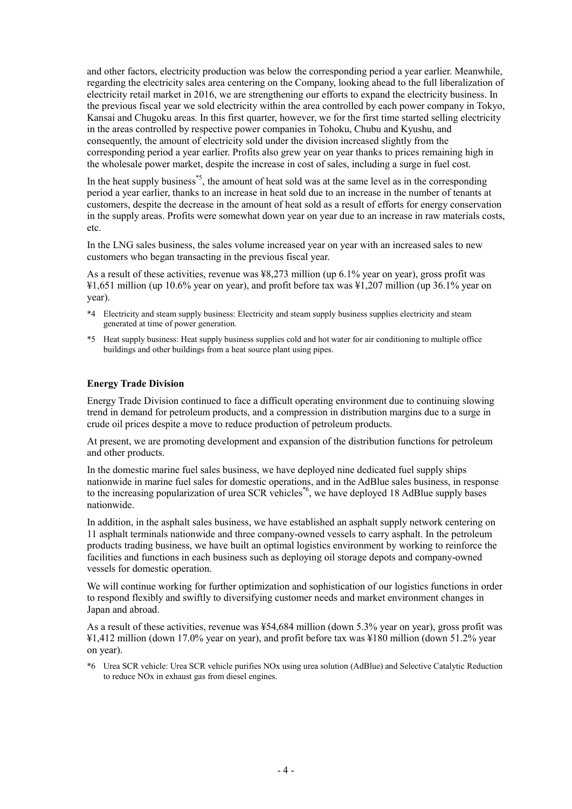and other factors, electricity production was below the corresponding period a year earlier. Meanwhile, regarding the electricity sales area centering on the Company, looking ahead to the full liberalization of electricity retail market in 2016, we are strengthening our efforts to expand the electricity business. In the previous fiscal year we sold electricity within the area controlled by each power company in Tokyo, Kansai and Chugoku areas. In this first quarter, however, we for the first time started selling electricity in the areas controlled by respective power companies in Tohoku, Chubu and Kyushu, and consequently, the amount of electricity sold under the division increased slightly from the corresponding period a year earlier. Profits also grew year on year thanks to prices remaining high in the wholesale power market, despite the increase in cost of sales, including a surge in fuel cost.

In the heat supply business<sup> $*5$ </sup>, the amount of heat sold was at the same level as in the corresponding period a year earlier, thanks to an increase in heat sold due to an increase in the number of tenants at customers, despite the decrease in the amount of heat sold as a result of efforts for energy conservation in the supply areas. Profits were somewhat down year on year due to an increase in raw materials costs, etc.

In the LNG sales business, the sales volume increased year on year with an increased sales to new customers who began transacting in the previous fiscal year.

As a result of these activities, revenue was ¥8,273 million (up 6.1% year on year), gross profit was ¥1,651 million (up 10.6% year on year), and profit before tax was ¥1,207 million (up 36.1% year on year).

- \*4 Electricity and steam supply business: Electricity and steam supply business supplies electricity and steam generated at time of power generation.
- \*5 Heat supply business: Heat supply business supplies cold and hot water for air conditioning to multiple office buildings and other buildings from a heat source plant using pipes.

#### **Energy Trade Division**

Energy Trade Division continued to face a difficult operating environment due to continuing slowing trend in demand for petroleum products, and a compression in distribution margins due to a surge in crude oil prices despite a move to reduce production of petroleum products.

At present, we are promoting development and expansion of the distribution functions for petroleum and other products.

In the domestic marine fuel sales business, we have deployed nine dedicated fuel supply ships nationwide in marine fuel sales for domestic operations, and in the AdBlue sales business, in response to the increasing popularization of urea SCR vehicles<sup>\*6</sup>, we have deployed 18 AdBlue supply bases nationwide.

In addition, in the asphalt sales business, we have established an asphalt supply network centering on 11 asphalt terminals nationwide and three company-owned vessels to carry asphalt. In the petroleum products trading business, we have built an optimal logistics environment by working to reinforce the facilities and functions in each business such as deploying oil storage depots and company-owned vessels for domestic operation.

We will continue working for further optimization and sophistication of our logistics functions in order to respond flexibly and swiftly to diversifying customer needs and market environment changes in Japan and abroad.

As a result of these activities, revenue was ¥54,684 million (down 5.3% year on year), gross profit was ¥1,412 million (down 17.0% year on year), and profit before tax was ¥180 million (down 51.2% year on year).

\*6 Urea SCR vehicle: Urea SCR vehicle purifies NOx using urea solution (AdBlue) and Selective Catalytic Reduction to reduce NOx in exhaust gas from diesel engines.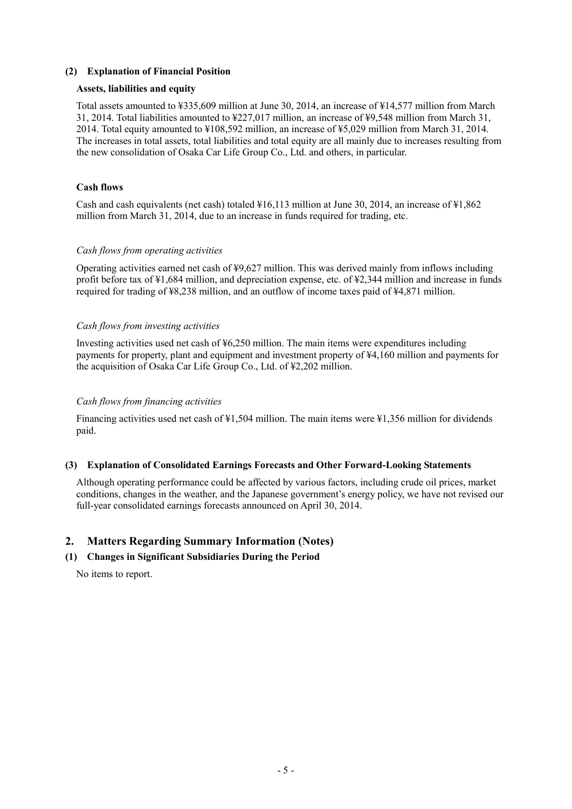### **(2) Explanation of Financial Position**

#### **Assets, liabilities and equity**

Total assets amounted to ¥335,609 million at June 30, 2014, an increase of ¥14,577 million from March 31, 2014. Total liabilities amounted to ¥227,017 million, an increase of ¥9,548 million from March 31, 2014. Total equity amounted to ¥108,592 million, an increase of ¥5,029 million from March 31, 2014. The increases in total assets, total liabilities and total equity are all mainly due to increases resulting from the new consolidation of Osaka Car Life Group Co., Ltd. and others, in particular.

### **Cash flows**

Cash and cash equivalents (net cash) totaled ¥16,113 million at June 30, 2014, an increase of ¥1,862 million from March 31, 2014, due to an increase in funds required for trading, etc.

### *Cash flows from operating activities*

Operating activities earned net cash of ¥9,627 million. This was derived mainly from inflows including profit before tax of ¥1,684 million, and depreciation expense, etc. of ¥2,344 million and increase in funds required for trading of ¥8,238 million, and an outflow of income taxes paid of ¥4,871 million.

### *Cash flows from investing activities*

Investing activities used net cash of ¥6,250 million. The main items were expenditures including payments for property, plant and equipment and investment property of ¥4,160 million and payments for the acquisition of Osaka Car Life Group Co., Ltd. of ¥2,202 million.

### *Cash flows from financing activities*

Financing activities used net cash of ¥1,504 million. The main items were ¥1,356 million for dividends paid.

### **(3) Explanation of Consolidated Earnings Forecasts and Other Forward-Looking Statements**

Although operating performance could be affected by various factors, including crude oil prices, market conditions, changes in the weather, and the Japanese government's energy policy, we have not revised our full-year consolidated earnings forecasts announced on April 30, 2014.

## **2. Matters Regarding Summary Information (Notes)**

## **(1) Changes in Significant Subsidiaries During the Period**

No items to report.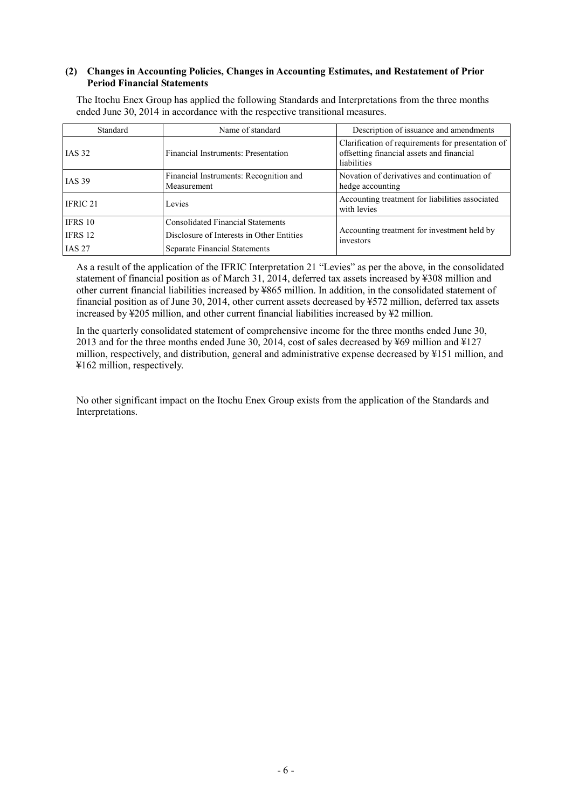#### **(2) Changes in Accounting Policies, Changes in Accounting Estimates, and Restatement of Prior Period Financial Statements**

The Itochu Enex Group has applied the following Standards and Interpretations from the three months ended June 30, 2014 in accordance with the respective transitional measures.

| Standard                                                                                                      | Name of standard                                      | Description of issuance and amendments                                                                        |
|---------------------------------------------------------------------------------------------------------------|-------------------------------------------------------|---------------------------------------------------------------------------------------------------------------|
| <b>IAS 32</b>                                                                                                 | Financial Instruments: Presentation                   | Clarification of requirements for presentation of<br>offsetting financial assets and financial<br>liabilities |
| <b>IAS 39</b>                                                                                                 | Financial Instruments: Recognition and<br>Measurement | Novation of derivatives and continuation of<br>hedge accounting                                               |
| IFRIC 21                                                                                                      | Levies                                                | Accounting treatment for liabilities associated<br>with levies                                                |
| IFRS 10                                                                                                       | <b>Consolidated Financial Statements</b>              |                                                                                                               |
| IFRS 12<br>Disclosure of Interests in Other Entities<br><b>IAS 27</b><br><b>Separate Financial Statements</b> |                                                       | Accounting treatment for investment held by<br>investors                                                      |
|                                                                                                               |                                                       |                                                                                                               |

As a result of the application of the IFRIC Interpretation 21 "Levies" as per the above, in the consolidated statement of financial position as of March 31, 2014, deferred tax assets increased by ¥308 million and other current financial liabilities increased by ¥865 million. In addition, in the consolidated statement of financial position as of June 30, 2014, other current assets decreased by ¥572 million, deferred tax assets increased by ¥205 million, and other current financial liabilities increased by ¥2 million.

In the quarterly consolidated statement of comprehensive income for the three months ended June 30, 2013 and for the three months ended June 30, 2014, cost of sales decreased by ¥69 million and ¥127 million, respectively, and distribution, general and administrative expense decreased by ¥151 million, and ¥162 million, respectively.

No other significant impact on the Itochu Enex Group exists from the application of the Standards and Interpretations.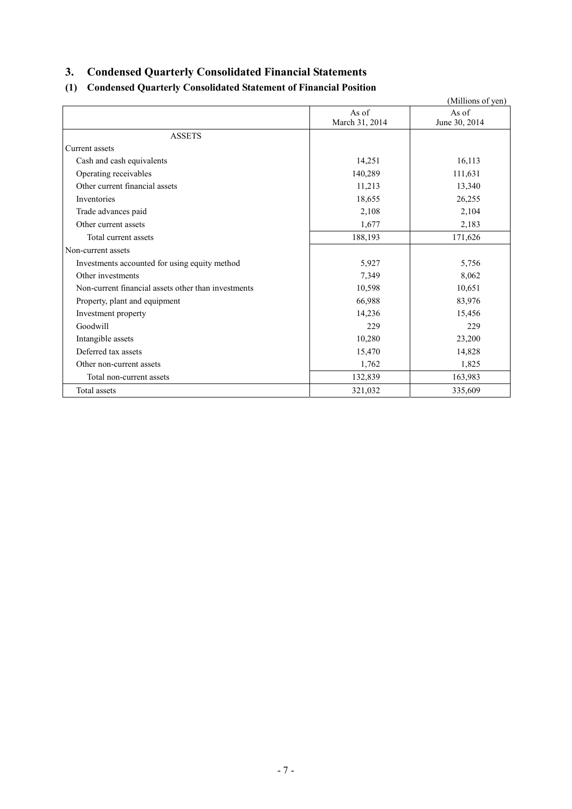## **3. Condensed Quarterly Consolidated Financial Statements**

## **(1) Condensed Quarterly Consolidated Statement of Financial Position**

| (Millions of yen)                                   |                |               |  |  |  |
|-----------------------------------------------------|----------------|---------------|--|--|--|
|                                                     | As of          | As of         |  |  |  |
|                                                     | March 31, 2014 | June 30, 2014 |  |  |  |
| <b>ASSETS</b>                                       |                |               |  |  |  |
| Current assets                                      |                |               |  |  |  |
| Cash and cash equivalents                           | 14,251         | 16,113        |  |  |  |
| Operating receivables                               | 140,289        | 111,631       |  |  |  |
| Other current financial assets                      | 11,213         | 13,340        |  |  |  |
| Inventories                                         | 18,655         | 26,255        |  |  |  |
| Trade advances paid                                 | 2,108          | 2,104         |  |  |  |
| Other current assets                                | 1,677          | 2,183         |  |  |  |
| Total current assets                                | 188,193        | 171,626       |  |  |  |
| Non-current assets                                  |                |               |  |  |  |
| Investments accounted for using equity method       | 5,927          | 5,756         |  |  |  |
| Other investments                                   | 7,349          | 8,062         |  |  |  |
| Non-current financial assets other than investments | 10,598         | 10,651        |  |  |  |
| Property, plant and equipment                       | 66,988         | 83,976        |  |  |  |
| Investment property                                 | 14,236         | 15,456        |  |  |  |
| Goodwill                                            | 229            | 229           |  |  |  |
| Intangible assets                                   | 10,280         | 23,200        |  |  |  |
| Deferred tax assets                                 | 15,470         | 14,828        |  |  |  |
| Other non-current assets                            | 1,762          | 1,825         |  |  |  |
| Total non-current assets                            | 132,839        | 163,983       |  |  |  |
| Total assets                                        | 321,032        | 335,609       |  |  |  |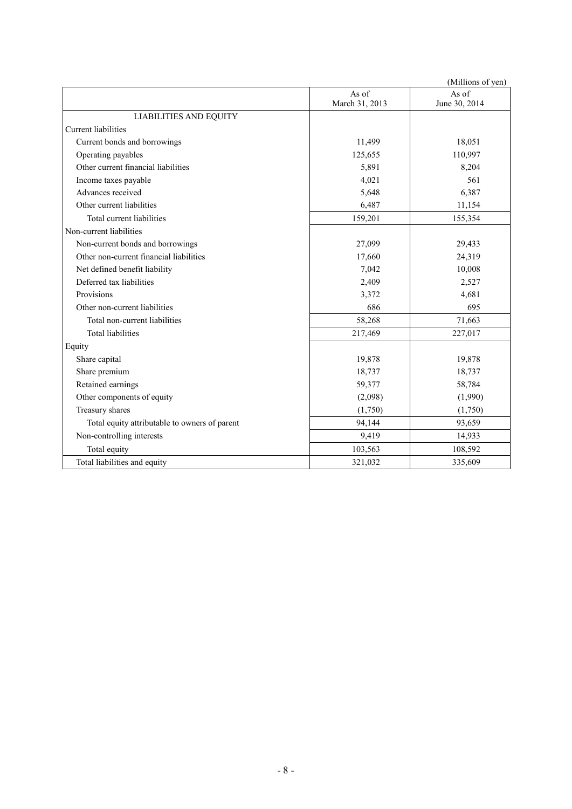| (Millions of yen)                             |                         |                        |  |  |  |
|-----------------------------------------------|-------------------------|------------------------|--|--|--|
|                                               | As of<br>March 31, 2013 | As of<br>June 30, 2014 |  |  |  |
| <b>LIABILITIES AND EQUITY</b>                 |                         |                        |  |  |  |
| Current liabilities                           |                         |                        |  |  |  |
| Current bonds and borrowings                  | 11,499                  | 18,051                 |  |  |  |
| Operating payables                            | 125,655                 | 110,997                |  |  |  |
| Other current financial liabilities           | 5,891                   | 8,204                  |  |  |  |
| Income taxes payable                          | 4,021                   | 561                    |  |  |  |
| Advances received                             | 5,648                   | 6,387                  |  |  |  |
| Other current liabilities                     | 6,487                   | 11,154                 |  |  |  |
| Total current liabilities                     | 159,201                 | 155,354                |  |  |  |
| Non-current liabilities                       |                         |                        |  |  |  |
| Non-current bonds and borrowings              | 27,099                  | 29,433                 |  |  |  |
| Other non-current financial liabilities       | 17,660                  | 24,319                 |  |  |  |
| Net defined benefit liability                 | 7,042                   | 10,008                 |  |  |  |
| Deferred tax liabilities                      | 2,409                   | 2,527                  |  |  |  |
| Provisions                                    | 3,372                   | 4,681                  |  |  |  |
| Other non-current liabilities                 | 686                     | 695                    |  |  |  |
| Total non-current liabilities                 | 58,268                  | 71,663                 |  |  |  |
| <b>Total liabilities</b>                      | 217,469                 | 227,017                |  |  |  |
| Equity                                        |                         |                        |  |  |  |
| Share capital                                 | 19,878                  | 19,878                 |  |  |  |
| Share premium                                 | 18,737                  | 18,737                 |  |  |  |
| Retained earnings                             | 59,377                  | 58,784                 |  |  |  |
| Other components of equity                    | (2,098)                 | (1,990)                |  |  |  |
| Treasury shares                               | (1,750)                 | (1,750)                |  |  |  |
| Total equity attributable to owners of parent | 94,144                  | 93,659                 |  |  |  |
| Non-controlling interests                     | 9,419                   | 14,933                 |  |  |  |
| Total equity                                  | 103,563                 | 108,592                |  |  |  |
| Total liabilities and equity                  | 321,032                 | 335,609                |  |  |  |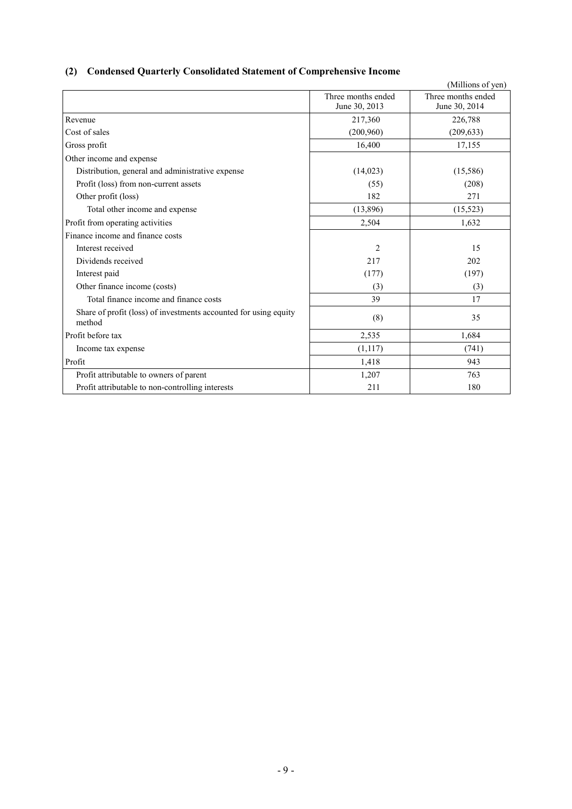## **(2) Condensed Quarterly Consolidated Statement of Comprehensive Income**

|                                                                            |                    | (Millions of yen)  |
|----------------------------------------------------------------------------|--------------------|--------------------|
|                                                                            | Three months ended | Three months ended |
|                                                                            | June 30, 2013      | June 30, 2014      |
| Revenue                                                                    | 217,360            | 226,788            |
| Cost of sales                                                              | (200, 960)         | (209, 633)         |
| Gross profit                                                               | 16,400             | 17,155             |
| Other income and expense                                                   |                    |                    |
| Distribution, general and administrative expense                           | (14,023)           | (15,586)           |
| Profit (loss) from non-current assets                                      | (55)               | (208)              |
| Other profit (loss)                                                        | 182                | 271                |
| Total other income and expense                                             | (13,896)           | (15, 523)          |
| Profit from operating activities                                           | 2,504              | 1,632              |
| Finance income and finance costs                                           |                    |                    |
| Interest received                                                          | $\overline{2}$     | 15                 |
| Dividends received                                                         | 217                | 202                |
| Interest paid                                                              | (177)              | (197)              |
| Other finance income (costs)                                               | (3)                | (3)                |
| Total finance income and finance costs                                     | 39                 | 17                 |
| Share of profit (loss) of investments accounted for using equity<br>method | (8)                | 35                 |
| Profit before tax                                                          | 2,535              | 1,684              |
| Income tax expense                                                         | (1,117)            | (741)              |
| Profit                                                                     | 1,418              | 943                |
| Profit attributable to owners of parent                                    | 1,207              | 763                |
| Profit attributable to non-controlling interests                           | 211                | 180                |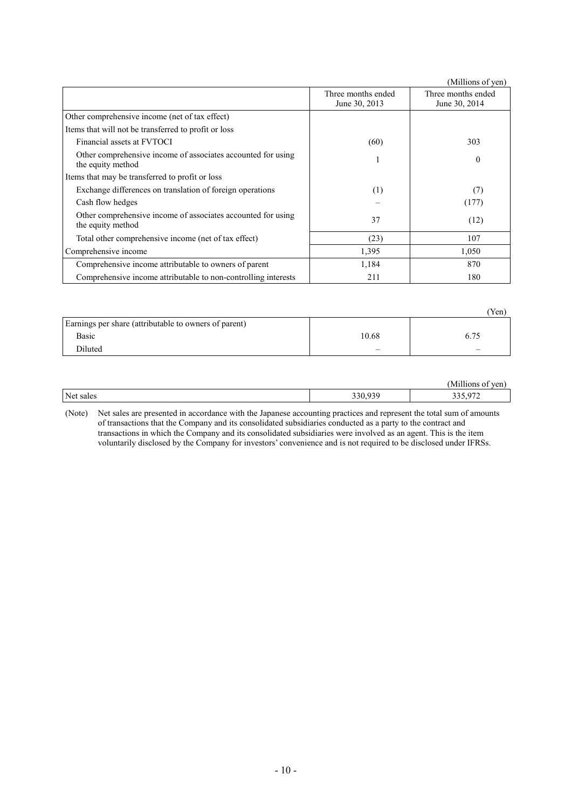|                                                                                   |                                     | (Millions of yen)                   |
|-----------------------------------------------------------------------------------|-------------------------------------|-------------------------------------|
|                                                                                   | Three months ended<br>June 30, 2013 | Three months ended<br>June 30, 2014 |
| Other comprehensive income (net of tax effect)                                    |                                     |                                     |
| Items that will not be transferred to profit or loss                              |                                     |                                     |
| Financial assets at FVTOCI                                                        | (60)                                | 303                                 |
| Other comprehensive income of associates accounted for using<br>the equity method |                                     | $\mathbf{0}$                        |
| Items that may be transferred to profit or loss                                   |                                     |                                     |
| Exchange differences on translation of foreign operations                         | (1)                                 | (7)                                 |
| Cash flow hedges                                                                  |                                     | (177)                               |
| Other comprehensive income of associates accounted for using<br>the equity method | 37                                  | (12)                                |
| Total other comprehensive income (net of tax effect)                              | (23)                                | 107                                 |
| Comprehensive income                                                              | 1,395                               | 1,050                               |
| Comprehensive income attributable to owners of parent                             | 1,184                               | 870                                 |
| Comprehensive income attributable to non-controlling interests                    | 211                                 | 180                                 |

|                                                       |       | Yen) |
|-------------------------------------------------------|-------|------|
| Earnings per share (attributable to owners of parent) |       |      |
| Basic                                                 | 10.68 | 6.75 |
| Diluted                                               |       | -    |

|           |                | $-0.111$<br>ven.<br>M1<br>Aillions<br>$\Omega$ |
|-----------|----------------|------------------------------------------------|
| Net sales | 03C<br>330,939 | 25.072<br>$\overline{\phantom{0}}$<br>----     |

(Note) Net sales are presented in accordance with the Japanese accounting practices and represent the total sum of amounts of transactions that the Company and its consolidated subsidiaries conducted as a party to the contract and transactions in which the Company and its consolidated subsidiaries were involved as an agent. This is the item voluntarily disclosed by the Company for investors' convenience and is not required to be disclosed under IFRSs.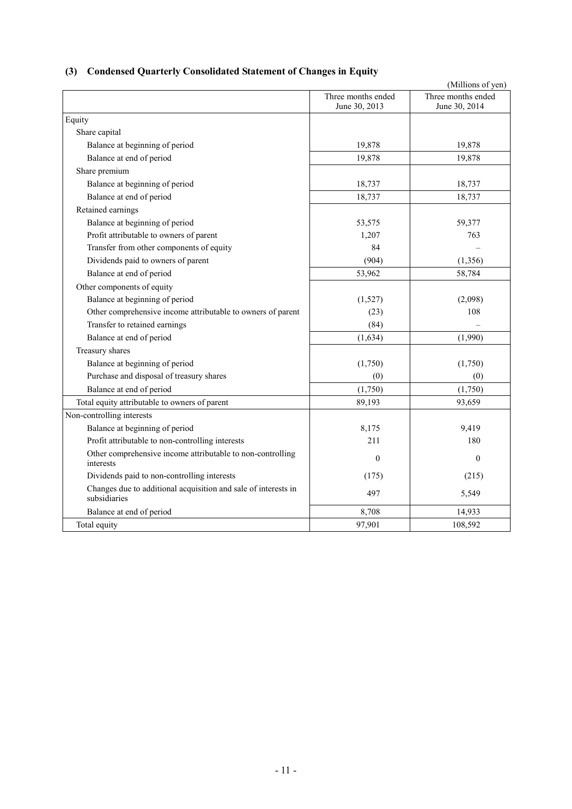|  | (3) Condensed Quarterly Consolidated Statement of Changes in Equity |  |
|--|---------------------------------------------------------------------|--|
|--|---------------------------------------------------------------------|--|

|                                                                                |                    | (Millions of yen)  |
|--------------------------------------------------------------------------------|--------------------|--------------------|
|                                                                                | Three months ended | Three months ended |
|                                                                                | June 30, 2013      | June 30, 2014      |
| Equity                                                                         |                    |                    |
| Share capital                                                                  |                    |                    |
| Balance at beginning of period                                                 | 19,878             | 19,878             |
| Balance at end of period                                                       | 19,878             | 19,878             |
| Share premium                                                                  |                    |                    |
| Balance at beginning of period                                                 | 18,737             | 18,737             |
| Balance at end of period                                                       | 18,737             | 18,737             |
| Retained earnings                                                              |                    |                    |
| Balance at beginning of period                                                 | 53,575             | 59,377             |
| Profit attributable to owners of parent                                        | 1,207              | 763                |
| Transfer from other components of equity                                       | 84                 |                    |
| Dividends paid to owners of parent                                             | (904)              | (1,356)            |
| Balance at end of period                                                       | 53,962             | 58,784             |
| Other components of equity                                                     |                    |                    |
| Balance at beginning of period                                                 | (1,527)            | (2,098)            |
| Other comprehensive income attributable to owners of parent                    | (23)               | 108                |
| Transfer to retained earnings                                                  | (84)               |                    |
| Balance at end of period                                                       | (1, 634)           | (1,990)            |
| Treasury shares                                                                |                    |                    |
| Balance at beginning of period                                                 | (1,750)            | (1,750)            |
| Purchase and disposal of treasury shares                                       | (0)                | (0)                |
| Balance at end of period                                                       | (1,750)            | (1,750)            |
| Total equity attributable to owners of parent                                  | 89,193             | 93,659             |
| Non-controlling interests                                                      |                    |                    |
| Balance at beginning of period                                                 | 8,175              | 9,419              |
| Profit attributable to non-controlling interests                               | 211                | 180                |
| Other comprehensive income attributable to non-controlling<br>interests        | $\mathbf{0}$       | $\mathbf{0}$       |
| Dividends paid to non-controlling interests                                    | (175)              | (215)              |
| Changes due to additional acquisition and sale of interests in<br>subsidiaries | 497                | 5,549              |
| Balance at end of period                                                       | 8,708              | 14,933             |
| Total equity                                                                   | 97,901             | 108,592            |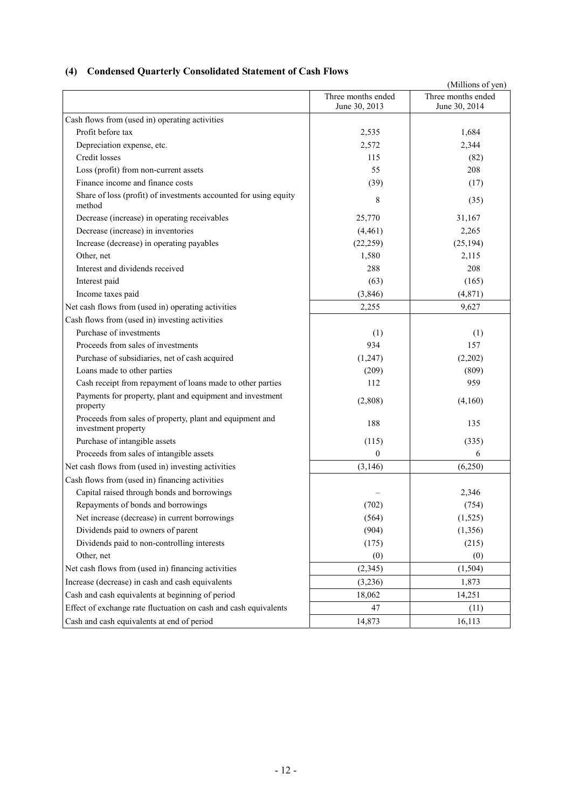## **(4) Condensed Quarterly Consolidated Statement of Cash Flows**

|                                                                                 |                                     | (Millions of yen)                   |
|---------------------------------------------------------------------------------|-------------------------------------|-------------------------------------|
|                                                                                 | Three months ended<br>June 30, 2013 | Three months ended<br>June 30, 2014 |
| Cash flows from (used in) operating activities                                  |                                     |                                     |
| Profit before tax                                                               | 2,535                               | 1,684                               |
| Depreciation expense, etc.                                                      | 2,572                               | 2,344                               |
| Credit losses                                                                   | 115                                 | (82)                                |
| Loss (profit) from non-current assets                                           | 55                                  | 208                                 |
| Finance income and finance costs                                                | (39)                                | (17)                                |
| Share of loss (profit) of investments accounted for using equity<br>method      | 8                                   | (35)                                |
| Decrease (increase) in operating receivables                                    | 25,770                              | 31,167                              |
| Decrease (increase) in inventories                                              | (4,461)                             | 2,265                               |
| Increase (decrease) in operating payables                                       | (22, 259)                           | (25, 194)                           |
| Other, net                                                                      | 1,580                               | 2,115                               |
| Interest and dividends received                                                 | 288                                 | 208                                 |
| Interest paid                                                                   | (63)                                | (165)                               |
| Income taxes paid                                                               | (3, 846)                            | (4, 871)                            |
| Net cash flows from (used in) operating activities                              | 2,255                               | 9,627                               |
| Cash flows from (used in) investing activities                                  |                                     |                                     |
| Purchase of investments                                                         | (1)                                 | (1)                                 |
| Proceeds from sales of investments                                              | 934                                 | 157                                 |
| Purchase of subsidiaries, net of cash acquired                                  | (1, 247)                            | (2,202)                             |
| Loans made to other parties                                                     | (209)                               | (809)                               |
| Cash receipt from repayment of loans made to other parties                      | 112                                 | 959                                 |
| Payments for property, plant and equipment and investment<br>property           | (2,808)                             | (4,160)                             |
| Proceeds from sales of property, plant and equipment and<br>investment property | 188                                 | 135                                 |
| Purchase of intangible assets                                                   | (115)                               | (335)                               |
| Proceeds from sales of intangible assets                                        | $\mathbf{0}$                        | 6                                   |
| Net cash flows from (used in) investing activities                              | (3, 146)                            | (6,250)                             |
| Cash flows from (used in) financing activities                                  |                                     |                                     |
| Capital raised through bonds and borrowings                                     |                                     | 2,346                               |
| Repayments of bonds and borrowings                                              | (702)                               | (754)                               |
| Net increase (decrease) in current borrowings                                   | (564)                               | (1,525)                             |
| Dividends paid to owners of parent                                              | (904)                               | (1, 356)                            |
| Dividends paid to non-controlling interests                                     | (175)                               | (215)                               |
| Other, net                                                                      | (0)                                 | (0)                                 |
| Net cash flows from (used in) financing activities                              | (2, 345)                            | (1,504)                             |
| Increase (decrease) in cash and cash equivalents                                | (3,236)                             | 1,873                               |
| Cash and cash equivalents at beginning of period                                | 18,062                              | 14,251                              |
| Effect of exchange rate fluctuation on cash and cash equivalents                | 47                                  | (11)                                |
| Cash and cash equivalents at end of period                                      | 14,873                              | 16,113                              |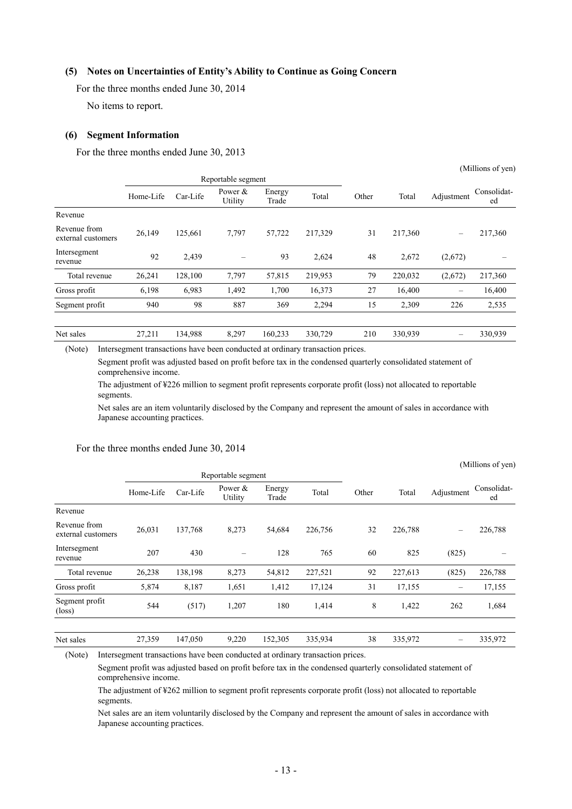### **(5) Notes on Uncertainties of Entity's Ability to Continue as Going Concern**

For the three months ended June 30, 2014

No items to report.

#### **(6) Segment Information**

For the three months ended June 30, 2013

|                                    | Reportable segment |          |                      |                 |         |       |         |                          |                   |
|------------------------------------|--------------------|----------|----------------------|-----------------|---------|-------|---------|--------------------------|-------------------|
|                                    | Home-Life          | Car-Life | Power $&$<br>Utility | Energy<br>Trade | Total   | Other | Total   | Adjustment               | Consolidat-<br>ed |
| Revenue                            |                    |          |                      |                 |         |       |         |                          |                   |
| Revenue from<br>external customers | 26,149             | 125,661  | 7,797                | 57,722          | 217,329 | 31    | 217,360 | $\overline{\phantom{0}}$ | 217,360           |
| Intersegment<br>revenue            | 92                 | 2,439    | -                    | 93              | 2,624   | 48    | 2,672   | (2,672)                  |                   |
| Total revenue                      | 26,241             | 128,100  | 7,797                | 57,815          | 219,953 | 79    | 220,032 | (2,672)                  | 217,360           |
| Gross profit                       | 6,198              | 6.983    | 1,492                | 1,700           | 16,373  | 27    | 16,400  |                          | 16,400            |
| Segment profit                     | 940                | 98       | 887                  | 369             | 2,294   | 15    | 2,309   | 226                      | 2,535             |
|                                    |                    |          |                      |                 |         |       |         |                          |                   |
| Net sales                          | 27,211             | 134,988  | 8,297                | 160,233         | 330,729 | 210   | 330,939 |                          | 330,939           |

(Millions of yen)

 $(Millions of you)$ 

(Note) Intersegment transactions have been conducted at ordinary transaction prices.

Segment profit was adjusted based on profit before tax in the condensed quarterly consolidated statement of comprehensive income.

The adjustment of ¥226 million to segment profit represents corporate profit (loss) not allocated to reportable segments.

Net sales are an item voluntarily disclosed by the Company and represent the amount of sales in accordance with Japanese accounting practices.

|  |  | For the three months ended June 30, 2014 |  |  |  |  |
|--|--|------------------------------------------|--|--|--|--|
|--|--|------------------------------------------|--|--|--|--|

|                                    |                    |          |                          |                 |         |       |         |            | (TATHIOHS OF ACH) |
|------------------------------------|--------------------|----------|--------------------------|-----------------|---------|-------|---------|------------|-------------------|
|                                    | Reportable segment |          |                          |                 |         |       |         |            |                   |
|                                    | Home-Life          | Car-Life | Power $\&$<br>Utility    | Energy<br>Trade | Total   | Other | Total   | Adjustment | Consolidat-<br>ed |
| Revenue                            |                    |          |                          |                 |         |       |         |            |                   |
| Revenue from<br>external customers | 26,031             | 137,768  | 8,273                    | 54,684          | 226,756 | 32    | 226,788 | -          | 226,788           |
| Intersegment<br>revenue            | 207                | 430      | $\overline{\phantom{0}}$ | 128             | 765     | 60    | 825     | (825)      |                   |
| Total revenue                      | 26,238             | 138,198  | 8,273                    | 54,812          | 227,521 | 92    | 227,613 | (825)      | 226,788           |
| Gross profit                       | 5,874              | 8,187    | 1,651                    | 1,412           | 17,124  | 31    | 17,155  |            | 17,155            |
| Segment profit<br>$(\text{loss})$  | 544                | (517)    | 1,207                    | 180             | 1,414   | 8     | 1,422   | 262        | 1,684             |
|                                    |                    |          |                          |                 |         |       |         |            |                   |
| Net sales                          | 27,359             | 147,050  | 9,220                    | 152,305         | 335,934 | 38    | 335,972 |            | 335,972           |

(Note) Intersegment transactions have been conducted at ordinary transaction prices.

Segment profit was adjusted based on profit before tax in the condensed quarterly consolidated statement of comprehensive income.

The adjustment of ¥262 million to segment profit represents corporate profit (loss) not allocated to reportable segments.

Net sales are an item voluntarily disclosed by the Company and represent the amount of sales in accordance with Japanese accounting practices.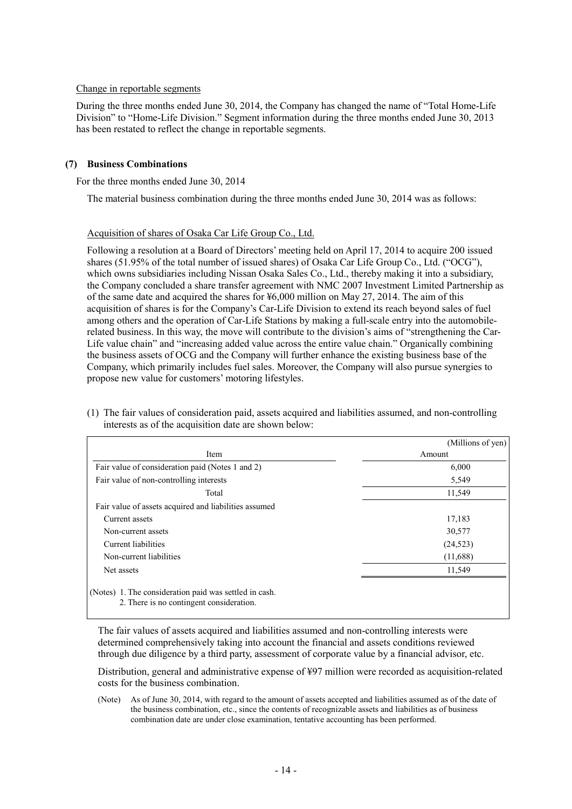#### Change in reportable segments

During the three months ended June 30, 2014, the Company has changed the name of "Total Home-Life Division" to "Home-Life Division." Segment information during the three months ended June 30, 2013 has been restated to reflect the change in reportable segments.

#### **(7) Business Combinations**

For the three months ended June 30, 2014

The material business combination during the three months ended June 30, 2014 was as follows:

#### Acquisition of shares of Osaka Car Life Group Co., Ltd.

Following a resolution at a Board of Directors' meeting held on April 17, 2014 to acquire 200 issued shares (51.95% of the total number of issued shares) of Osaka Car Life Group Co., Ltd. ("OCG"), which owns subsidiaries including Nissan Osaka Sales Co., Ltd., thereby making it into a subsidiary, the Company concluded a share transfer agreement with NMC 2007 Investment Limited Partnership as of the same date and acquired the shares for ¥6,000 million on May 27, 2014. The aim of this acquisition of shares is for the Company's Car-Life Division to extend its reach beyond sales of fuel among others and the operation of Car-Life Stations by making a full-scale entry into the automobilerelated business. In this way, the move will contribute to the division's aims of "strengthening the Car-Life value chain" and "increasing added value across the entire value chain." Organically combining the business assets of OCG and the Company will further enhance the existing business base of the Company, which primarily includes fuel sales. Moreover, the Company will also pursue synergies to propose new value for customers' motoring lifestyles.

|                                                                                                    | (Millions of yen) |
|----------------------------------------------------------------------------------------------------|-------------------|
| Item                                                                                               | Amount            |
| Fair value of consideration paid (Notes 1 and 2)                                                   | 6,000             |
| Fair value of non-controlling interests                                                            | 5,549             |
| Total                                                                                              | 11,549            |
| Fair value of assets acquired and liabilities assumed                                              |                   |
| Current assets                                                                                     | 17,183            |
| Non-current assets                                                                                 | 30,577            |
| Current liabilities                                                                                | (24, 523)         |
| Non-current liabilities                                                                            | (11,688)          |
| Net assets                                                                                         | 11,549            |
| (Notes) 1. The consideration paid was settled in cash.<br>2. There is no contingent consideration. |                   |

(1) The fair values of consideration paid, assets acquired and liabilities assumed, and non-controlling interests as of the acquisition date are shown below:

The fair values of assets acquired and liabilities assumed and non-controlling interests were determined comprehensively taking into account the financial and assets conditions reviewed through due diligence by a third party, assessment of corporate value by a financial advisor, etc.

Distribution, general and administrative expense of ¥97 million were recorded as acquisition-related costs for the business combination.

(Note) As of June 30, 2014, with regard to the amount of assets accepted and liabilities assumed as of the date of the business combination, etc., since the contents of recognizable assets and liabilities as of business combination date are under close examination, tentative accounting has been performed.